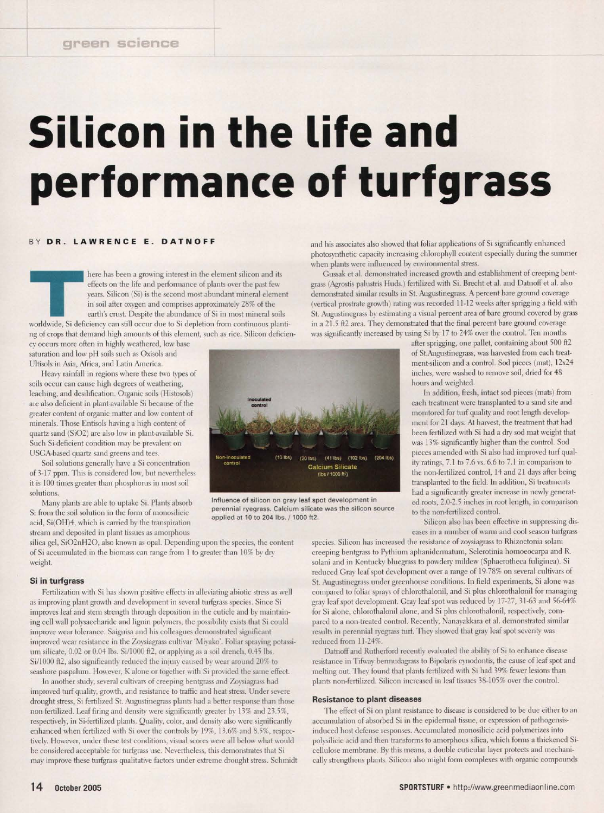# **Silicon in the life and performance of turfgrass**

#### BY DR. LAWRENCE E. DATNOFF

THE RETERNMENT CONSIDERED AT AN ARTICLE IN A CALIFORM SHOW THE RETERN OF THE RETERN OF THE RETERN OF THE STATE OF THE STATE OF THE STATE OF THE STATE OF SI depletion from continuous planti-<br>worldwide, Si deficiency can sti here has been a growing interest in the element silicon and its effects on the life and performance of plants over the past few years. Silicon (Si) is the second most abundant mineral element in soil after oxygen and comprises approximately 28% of the earth's crust. Despite the abundance of Si in most mineral soils ng of crops that demand high amounts of this element, such as rice. Silicon deficien-

cy occurs more often in highly weathered, low base saturation and low pH soils such as Oxisols and Ultisols in Asia, Africa, and Latin America.

Heavy rainfall in regions where these two types of soils occur can cause high degrees of weathering, leaching, and desilification. Organic soils (Histosols) are also deficient in plant-available Si because of the greater content of organic matter and low content of minerals. Those Entisols having a high content of quartz sand (Si02) are also low in plant-available Si. Such Si-deficient condition may be prevalent on USGA-based quartz sand greens and tees.

Soil solutions generally have a Si concentration of 3-17 ppm. This is considered low, but nevertheless it is 100 times greater than phosphorus in most soil solutions.

Many plants are able to uptake Si. Plants absorb Si from the soil solution in the form of monosilicic acid, Si(OH)4, which is carried by the transpiration stream and deposited in plant tissues as amorphous

silica gel, Si02nH20, also known as opal. Depending upon the species, the content of Si accumulated in the biomass can range from 1 to greater than 10% by dry weight.

#### **Si in turfgrass**

Fertilization with Si has shown positive effects in alleviating abiotic stress as well as improving plant growth and development in several turfgrass species. Since Si improves leaf and stem strength through deposition in the cuticle and by maintaining cell wall polysaccharide and lignin polymers, the possibility exists that Si could improve wear tolerance. Saiguisa and his colleagues demonstrated significant improved wear resistance in the Zoysiagrass cultivar 'Miyake'. Foliar spraying potassium silicate, 0.02 or 0.04 lbs. Si/1000 ft2, or applying as a soil drench, 0.45 lbs. Si/1000 ft2, also significantly reduced the injury caused by wear around 20% to seashore paspalum. However, K alone or together with Si provided the same effect.

In another study, several cultivars of creeping bentgrass and Zoysiagrass had improved turf quality, growth, and resistance to traffic and heat stress. Under severe drought stress, Si fertilized St. Augustinegrass plants had a better response than those non-fertilized. Leaf firing and density were significantly greater by 13% and 23.5%, respectively, in Si-fertilized plants. Quality, color, and density also were significantly enhanced when fertilized with Si over the controls by 19%, 13.6% and 8.5%, respectively. However, under these test conditions, visual scores were all below what would be considered acceptable for turfgrass use. Nevertheless, this demonstrates that Si may improve these turfgrass qualitative factors under extreme drought stress. Schmidt and his associates also showed that foliar applications of Si significantly enhanced photosynthetic capacity increasing chlorophyll content especially during the summer when plants were influenced by environmental stress.

Gussak et al. demonstrated increased growth and establishment of creeping bentgrass (Agrostis palustris Huds.) fertilized with Si. Brecht et al. and Datnoff et al. also demonstrated similar results in St. Augustinegrass. A percent bare ground coverage (vertical prostrate growth) rating was recorded 11-12 weeks after sprigging a field with St. Augustinegrass by estimating a visual percent area of bare ground covered by grass in a 21.5 ft2 area. They demonstrated that the final percent bare ground coverage was significantly increased by using Si by 17 to 24% over the control. Ten months

after sprigging, one pallet, containing about 500 ft2 of St.Augustinegrass, was harvested from each treatment-silicon and a control. Sod pieces (mat), 12x24 inches, were washed to remove soil, dried for 48 hours and weighted.

In addition, fresh, intact sod pieces (mats) from each treatment were transplanted to a sand site and monitored for turf quality and root length development for 21 days. At harvest, the treatment that had been fertilized with Si had a dry sod mat weight that was 13% significantly higher than the control. Sod pieces amended with Si also had improved turf quality ratings, 7.1 to 7.6 vs. 6.6 to 7.1 in comparison to the non-fertilized control, 14 and 21 days after being transplanted to the field. In addition, Si treatments had a significantly greater increase in newly generated roots, 2.0-2.5 inches in root length, in comparison to the non-fertilized control.

Silicon also has been effective in suppressing diseases in a number of warm and cool season turfgrass

species. Silicon has increased the resistance of zoysiagrass to Rhizoctonia solani creeping bentgrass to Pythium aphanidermatum, Sclerotinia homoeocarpa and R. solani and in Kentucky bluegrass to powdery mildew (Sphaerotheca fuliginea). Si reduced Gray leaf spot development over a range of 19-78% on several cultivars of St. Augustinegrass under greenhouse conditions. In field experiments, Si alone was compared to foliar sprays of chlorothalonil, and Si plus chlorothalonil for managing gray leaf spot development. Gray leaf spot was reduced by 17-27, 31-63 and 56-64% for Si alone, chlorothalonil alone, and Si plus chlorothalonil, respectively, compared to a non-treated control. Recently, Nanayakkara et al. demonstrated similar results in perennial ryegrass turf. They showed that gray leaf spot severity was reduced from 11-24%.

Datnoff and Rutherford recently evaluated the ability of Si to enhance disease resistance in Tifway bermudagrass to Bipolaris cynodontis, the cause of leaf spot and melting out. They found that plants fertilized with Si had 39% fewer lesions than plants non-fertilized. Silicon increased in leaf tissues 38-105% over the control.

#### **Resistance to plant diseases**

The effect of Si on plant resistance to disease is considered to be due either to an accumulation of absorbed Si in the epidermal tissue, or expression of pathogensisinduced host defense responses. Accumulated monosilicic acid polymerizes into polysilicic acid and then transforms to amorphous silica, which forms a thickened Sicellulose membrane. By this means, a double cuticular layer protects and mechanically strengthens plants. Silicon also might form complexes with organic compounds



Influence of silicon on gray leaf spot development in perennial ryegrass. Calcium silicate was the silicon source applied at 10 to 204 lbs. / 1000 ft2.